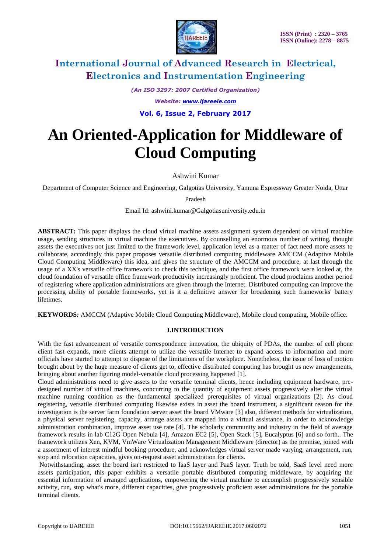

*(An ISO 3297: 2007 Certified Organization)*

*Website: [www.ijareeie.com](http://www.ijareeie.com/)*

**Vol. 6, Issue 2, February 2017**

# **An Oriented-Application for Middleware of Cloud Computing**

Ashwini Kumar

Department of Computer Science and Engineering, Galgotias University, Yamuna Expressway Greater Noida, Uttar

Pradesh

Email Id: ashwini.kumar@Galgotiasuniversity.edu.in

**ABSTRACT:** This paper displays the cloud virtual machine assets assignment system dependent on virtual machine usage, sending structures in virtual machine the executives. By counselling an enormous number of writing, thought assets the executives not just limited to the framework level, application level as a matter of fact need more assets to collaborate, accordingly this paper proposes versatile distributed computing middleware AMCCM (Adaptive Mobile Cloud Computing Middleware) this idea, and gives the structure of the AMCCM and procedure, at last through the usage of a XX's versatile office framework to check this technique, and the first office framework were looked at, the cloud foundation of versatile office framework productivity increasingly proficient. The cloud proclaims another period of registering where application administrations are given through the Internet. Distributed computing can improve the processing ability of portable frameworks, yet is it a definitive answer for broadening such frameworks' battery lifetimes.

**KEYWORDS***:* AMCCM (Adaptive Mobile Cloud Computing Middleware), Mobile cloud computing, Mobile office.

# **I.INTRODUCTION**

With the fast advancement of versatile correspondence innovation, the ubiquity of PDAs, the number of cell phone client fast expands, more clients attempt to utilize the versatile Internet to expand access to information and more officials have started to attempt to dispose of the limitations of the workplace. Nonetheless, the issue of loss of motion brought about by the huge measure of clients get to, effective distributed computing has brought us new arrangements, bringing about another figuring model-versatile cloud processing happened [1].

Cloud administrations need to give assets to the versatile terminal clients, hence including equipment hardware, predesigned number of virtual machines, concurring to the quantity of equipment assets progressively alter the virtual machine running condition as the fundamental specialized prerequisites of virtual organizations [2]. As cloud registering, versatile distributed computing likewise exists in asset the board instrument, a significant reason for the investigation is the server farm foundation server asset the board VMware [3] also, different methods for virtualization, a physical server registering, capacity, arrange assets are mapped into a virtual assistance, in order to acknowledge administration combination, improve asset use rate [4]. The scholarly community and industry in the field of average framework results in lab C12G Open Nebula [4], Amazon EC2 [5], Open Stack [5], Eucalyptus [6] and so forth.. The framework utilizes Xen, KVM, VmWare Virtualization Management Middleware (director) as the premise, joined with a assortment of interest mindful booking procedure, and acknowledges virtual server made varying, arrangement, run, stop and relocation capacities, gives on-request asset administration for clients.

Notwithstanding, asset the board isn't restricted to IaaS layer and PaaS layer. Truth be told, SaaS level need more assets participation, this paper exhibits a versatile portable distributed computing middleware, by acquiring the essential information of arranged applications, empowering the virtual machine to accomplish progressively sensible activity, run, stop what's more, different capacities, give progressively proficient asset administrations for the portable terminal clients.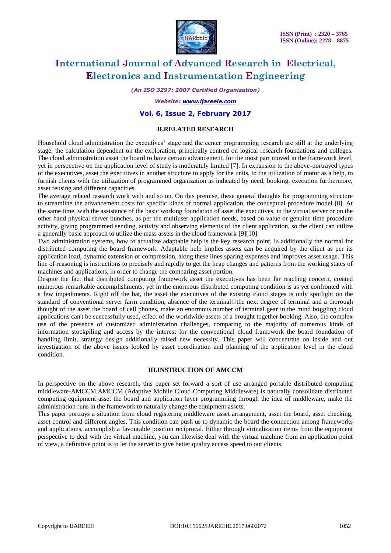

*(An ISO 3297: 2007 Certified Organization)*

*Website: [www.ijareeie.com](http://www.ijareeie.com/)*

### **Vol. 6, Issue 2, February 2017**

### **II.RELATED RESEARCH**

Household cloud administration the executives' stage and the center programming research are still at the underlying stage, the calculation dependent on the exploration, principally centred on logical research foundations and colleges. The cloud administration asset the board to have certain advancement, for the most part moved in the framework level, yet in perspective on the application level of study is moderately limited [7]. In expansion to the above-portrayed types of the executives, asset the executives in another structure to apply for the units, to the utilization of motor as a help, to furnish clients with the utilization of programmed organization as indicated by need, booking, execution furthermore, asset reusing and different capacities.

The average related research work with and so on. On this premise, these general thoughts for programming structure to streamline the advancement costs for specific kinds of normal application, the conceptual procedure model [8]. At the same time, with the assistance of the basic working foundation of asset the executives, in the virtual server or on the other hand physical server bunches, as per the multiuser application needs, based on value or genuine time procedure activity, giving programmed sending, activity and observing elements of the client application, so the client can utilize a generally basic approach to utilize the mass assets in the cloud framework [9][10].

Two administration systems, how to actualize adaptable help is the key research point, is additionally the normal for distributed computing the board framework. Adaptable help implies assets can be acquired by the client as per its application load, dynamic extension or compression, along these lines sparing expenses and improves asset usage. This line of reasoning is instructions to precisely and rapidly to get the heap changes and patterns from the working states of machines and applications, in order to change the comparing asset portion.

Despite the fact that distributed computing framework asset the executives has been far reaching concern, created numerous remarkable accomplishments, yet in the enormous distributed computing condition is as yet confronted with a few impediments. Right off the bat, the asset the executives of the existing cloud stages is only spotlight on the standard of conventional server farm condition, absence of the terminal  $\Box$  the next degree of terminal and a thorough thought of the asset the board of cell phones, make an enormous number of terminal gear in the mind boggling cloud applications can't be successfully used, effect of the worldwide assets of a brought together booking. Also, the complex use of the presence of customized administration challenges, comparing to the majority of numerous kinds of information stockpiling and access by the interest for the conventional cloud framework the board foundation of handling limit, strategy design additionally raised new necessity. This paper will concentrate on inside and out investigation of the above issues looked by asset coordination and planning of the application level in the cloud condition.

# **III.INSTRUCTION OF AMCCM**

In perspective on the above research, this paper set forward a sort of use arranged portable distributed computing middleware-AMCCM.AMCCM (Adaptive Mobile Cloud Computing Middleware) is naturally consolidate distributed computing equipment asset the board and application layer programming through the idea of middleware, make the administration runs in the framework to naturally change the equipment assets.

This paper portrays a situation from cloud registering middleware asset arrangement, asset the board, asset checking, asset control and different angles. This condition can push us to dynamic the board the connection among frameworks and applications, accomplish a favourable position reciprocal. Either through virtualization items from the equipment perspective to deal with the virtual machine, you can likewise deal with the virtual machine from an application point of view, a definitive point is to let the server to give better quality access speed to our clients.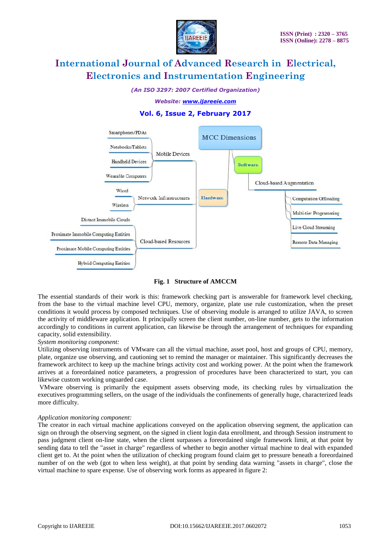

*(An ISO 3297: 2007 Certified Organization)*

*Website: [www.ijareeie.com](http://www.ijareeie.com/)*



# **Vol. 6, Issue 2, February 2017**

### **Fig. 1 Structure of AMCCM**

The essential standards of their work is this: framework checking part is answerable for framework level checking, from the base to the virtual machine level CPU, memory, organize, plate use rule customization, when the preset conditions it would process by composed techniques. Use of observing module is arranged to utilize JAVA, to screen the activity of middleware application. It principally screen the client number, on-line number, gets to the information accordingly to conditions in current application, can likewise be through the arrangement of techniques for expanding capacity, solid extensibility.

### *System monitoring component:*

Utilizing observing instruments of VMware can all the virtual machine, asset pool, host and groups of CPU, memory, plate, organize use observing, and cautioning set to remind the manager or maintainer. This significantly decreases the framework architect to keep up the machine brings activity cost and working power. At the point when the framework arrives at a foreordained notice parameters, a progression of procedures have been characterized to start, you can likewise custom working unguarded case.

VMware observing is primarily the equipment assets observing mode, its checking rules by virtualization the executives programming sellers, on the usage of the individuals the confinements of generally huge, characterized leads more difficulty.

### *Application monitoring component:*

The creator in each virtual machine applications conveyed on the application observing segment, the application can sign on through the observing segment, on the signed in client login data enrollment, and through Session instrument to pass judgment client on-line state, when the client surpasses a foreordained single framework limit, at that point by sending data to tell the "asset in charge" regardless of whether to begin another virtual machine to deal with expanded client get to. At the point when the utilization of checking program found claim get to pressure beneath a foreordained number of on the web (got to when less weight), at that point by sending data warning "assets in charge", close the virtual machine to spare expense. Use of observing work forms as appeared in figure 2: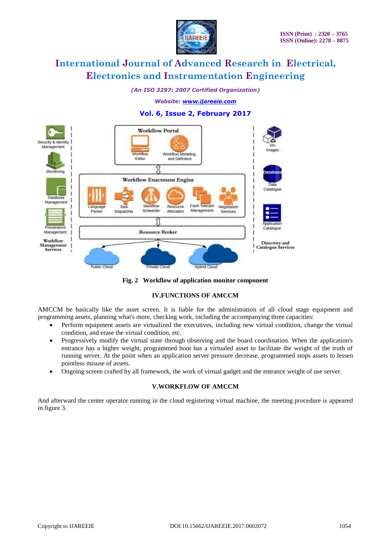

*(An ISO 3297: 2007 Certified Organization)*

*Website: [www.ijareeie.com](http://www.ijareeie.com/)*

# **Vol. 6, Issue 2, February 2017**





# **IV.FUNCTIONS OF AMCCM**

AMCCM be basically like the asset screen. It is liable for the administration of all cloud stage equipment and programming assets, planning what's more, checking work, including the accompanying three capacities:

- Perform equipment assets are virtualized the executives, including new virtual condition, change the virtual condition, and erase the virtual condition, etc.
- Progressively modify the virtual state through observing and the board coordination. When the application's entrance has a higher weight, programmed boot has a virtualed asset to facilitate the weight of the truth of running server. At the point when an application server pressure decrease, programmed stops assets to lessen pointless misuse of assets.
- Ongoing screen crafted by all framework, the work of virtual gadget and the entrance weight of use server.

### **V.WORKFLOW OF AMCCM**

And afterward the center operator running in the cloud registering virtual machine, the meeting procedure is appeared in figure 3.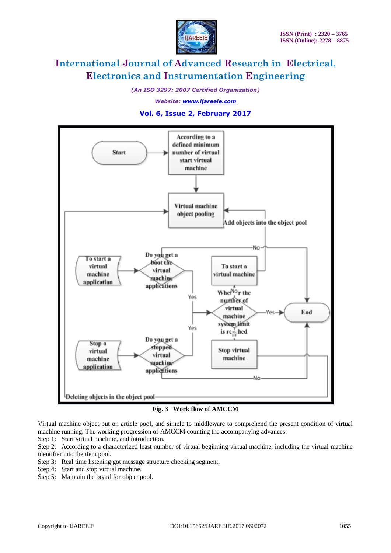

*(An ISO 3297: 2007 Certified Organization)*

*Website: [www.ijareeie.com](http://www.ijareeie.com/)*

### **Vol. 6, Issue 2, February 2017**



**Fig. 3 Work flow of AMCCM**

Virtual machine object put on article pool, and simple to middleware to comprehend the present condition of virtual machine running. The working progression of AMCCM counting the accompanying advances:

Step 1: Start virtual machine, and introduction.

Step 2: According to a characterized least number of virtual beginning virtual machine, including the virtual machine identifier into the item pool.

- Step 3: Real time listening got message structure checking segment.
- Step 4: Start and stop virtual machine.
- Step 5: Maintain the board for object pool.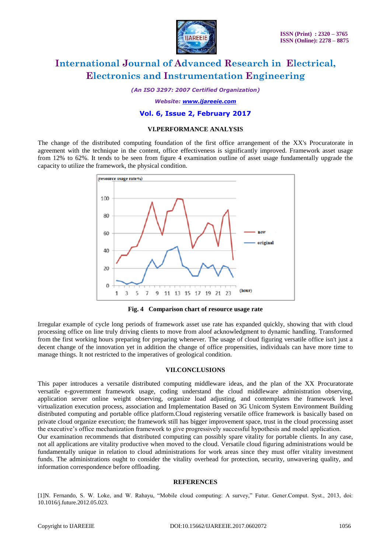

*(An ISO 3297: 2007 Certified Organization)*

*Website: [www.ijareeie.com](http://www.ijareeie.com/)*

### **Vol. 6, Issue 2, February 2017**

### **VI.PERFORMANCE ANALYSIS**

The change of the distributed computing foundation of the first office arrangement of the XX's Procuratorate in agreement with the technique in the content, office effectiveness is significantly improved. Framework asset usage from 12% to 62%. It tends to be seen from figure 4 examination outline of asset usage fundamentally upgrade the capacity to utilize the framework, the physical condition.



**Fig. 4 Comparison chart of resource usage rate**

Irregular example of cycle long periods of framework asset use rate has expanded quickly, showing that with cloud processing office on line truly driving clients to move from aloof acknowledgment to dynamic handling. Transformed from the first working hours preparing for preparing whenever. The usage of cloud figuring versatile office isn't just a decent change of the innovation yet in addition the change of office propensities, individuals can have more time to manage things. It not restricted to the imperatives of geological condition.

### **VII.CONCLUSIONS**

This paper introduces a versatile distributed computing middleware ideas, and the plan of the XX Procuratorate versatile e-government framework usage, coding understand the cloud middleware administration observing, application server online weight observing, organize load adjusting, and contemplates the framework level virtualization execution process, association and Implementation Based on 3G Unicom System Environment Building distributed computing and portable office platform.Cloud registering versatile office framework is basically based on private cloud organize execution; the framework still has bigger improvement space, trust in the cloud processing asset the executive's office mechanization framework to give progressively successful hypothesis and model application.

Our examination recommends that distributed computing can possibly spare vitality for portable clients. In any case, not all applications are vitality productive when moved to the cloud. Versatile cloud figuring administrations would be fundamentally unique in relation to cloud administrations for work areas since they must offer vitality investment funds. The administrations ought to consider the vitality overhead for protection, security, unwavering quality, and information correspondence before offloading.

#### **REFERENCES**

[1]N. Fernando, S. W. Loke, and W. Rahayu, "Mobile cloud computing: A survey," Futur. Gener.Comput. Syst., 2013, doi: 10.1016/j.future.2012.05.023.